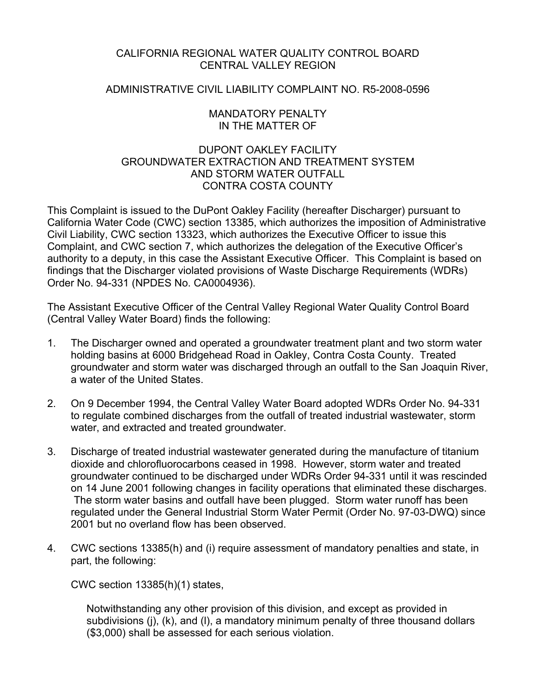# CALIFORNIA REGIONAL WATER QUALITY CONTROL BOARD CENTRAL VALLEY REGION

## ADMINISTRATIVE CIVIL LIABILITY COMPLAINT NO. R5-2008-0596

#### MANDATORY PENALTY IN THE MATTER OF

# DUPONT OAKLEY FACILITY GROUNDWATER EXTRACTION AND TREATMENT SYSTEM AND STORM WATER OUTFALL CONTRA COSTA COUNTY

This Complaint is issued to the DuPont Oakley Facility (hereafter Discharger) pursuant to California Water Code (CWC) section 13385, which authorizes the imposition of Administrative Civil Liability, CWC section 13323, which authorizes the Executive Officer to issue this Complaint, and CWC section 7, which authorizes the delegation of the Executive Officer's authority to a deputy, in this case the Assistant Executive Officer. This Complaint is based on findings that the Discharger violated provisions of Waste Discharge Requirements (WDRs) Order No. 94-331 (NPDES No. CA0004936).

The Assistant Executive Officer of the Central Valley Regional Water Quality Control Board (Central Valley Water Board) finds the following:

- 1. The Discharger owned and operated a groundwater treatment plant and two storm water holding basins at 6000 Bridgehead Road in Oakley, Contra Costa County. Treated groundwater and storm water was discharged through an outfall to the San Joaquin River, a water of the United States.
- 2. On 9 December 1994, the Central Valley Water Board adopted WDRs Order No. 94-331 to regulate combined discharges from the outfall of treated industrial wastewater, storm water, and extracted and treated groundwater.
- 3. Discharge of treated industrial wastewater generated during the manufacture of titanium dioxide and chlorofluorocarbons ceased in 1998. However, storm water and treated groundwater continued to be discharged under WDRs Order 94-331 until it was rescinded on 14 June 2001 following changes in facility operations that eliminated these discharges. The storm water basins and outfall have been plugged. Storm water runoff has been regulated under the General Industrial Storm Water Permit (Order No. 97-03-DWQ) since 2001 but no overland flow has been observed.
- 4. CWC sections 13385(h) and (i) require assessment of mandatory penalties and state, in part, the following:

CWC section 13385(h)(1) states,

Notwithstanding any other provision of this division, and except as provided in subdivisions (j), (k), and (l), a mandatory minimum penalty of three thousand dollars (\$3,000) shall be assessed for each serious violation.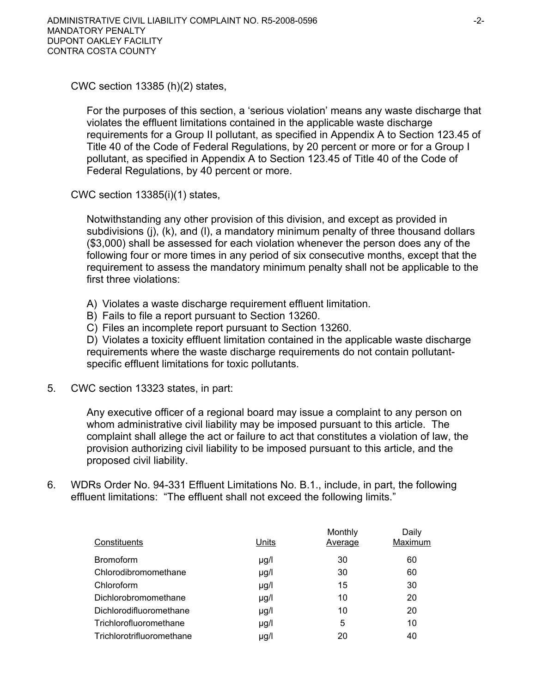CWC section 13385 (h)(2) states,

For the purposes of this section, a 'serious violation' means any waste discharge that violates the effluent limitations contained in the applicable waste discharge requirements for a Group II pollutant, as specified in Appendix A to Section 123.45 of Title 40 of the Code of Federal Regulations, by 20 percent or more or for a Group I pollutant, as specified in Appendix A to Section 123.45 of Title 40 of the Code of Federal Regulations, by 40 percent or more.

CWC section 13385(i)(1) states,

Notwithstanding any other provision of this division, and except as provided in subdivisions (j), (k), and (l), a mandatory minimum penalty of three thousand dollars (\$3,000) shall be assessed for each violation whenever the person does any of the following four or more times in any period of six consecutive months, except that the requirement to assess the mandatory minimum penalty shall not be applicable to the first three violations:

- A) Violates a waste discharge requirement effluent limitation.
- B) Fails to file a report pursuant to Section 13260.
- C) Files an incomplete report pursuant to Section 13260.

D) Violates a toxicity effluent limitation contained in the applicable waste discharge requirements where the waste discharge requirements do not contain pollutantspecific effluent limitations for toxic pollutants.

5. CWC section 13323 states, in part:

Any executive officer of a regional board may issue a complaint to any person on whom administrative civil liability may be imposed pursuant to this article. The complaint shall allege the act or failure to act that constitutes a violation of law, the provision authorizing civil liability to be imposed pursuant to this article, and the proposed civil liability.

6. WDRs Order No. 94-331 Effluent Limitations No. B.1., include, in part, the following effluent limitations: "The effluent shall not exceed the following limits."

| Constituents              | Units     | Monthly<br>Average | Daily<br>Maximum |
|---------------------------|-----------|--------------------|------------------|
| <b>Bromoform</b>          | $\mu$ g/l | 30                 | 60               |
| Chlorodibromomethane      | µg/l      | 30                 | 60               |
| Chloroform                | $\mu$ g/l | 15                 | 30               |
| Dichlorobromomethane      | $\mu$ g/l | 10                 | 20               |
| Dichlorodifluoromethane   | $\mu$ g/l | 10                 | 20               |
| Trichlorofluoromethane    | $\mu$ g/l | 5                  | 10               |
| Trichlorotrifluoromethane | µg/l      | 20                 | 40               |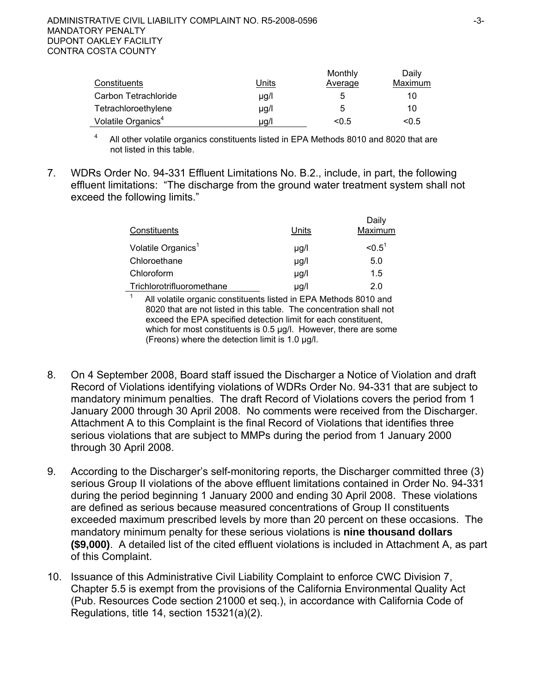1

|                                |           | Monthly | Daily   |
|--------------------------------|-----------|---------|---------|
| Constituents                   | Units     | Average | Maximum |
| Carbon Tetrachloride           | $\mu$ g/l | 5       | 10      |
| Tetrachloroethylene            | $\mu$ g/l | 5       | 10      |
| Volatile Organics <sup>4</sup> | µg/l      | < 0.5   | < 0.5   |

4 All other volatile organics constituents listed in EPA Methods 8010 and 8020 that are not listed in this table.

7. WDRs Order No. 94-331 Effluent Limitations No. B.2., include, in part, the following effluent limitations: "The discharge from the ground water treatment system shall not exceed the following limits."

| Constituents                   | Units     | Daily<br>Maximum |
|--------------------------------|-----------|------------------|
| Volatile Organics <sup>1</sup> | $\mu$ g/l | $< 0.5^1$        |
| Chloroethane                   | $\mu$ g/l | 5.0              |
| Chloroform                     | $\mu$ g/l | 1.5              |
| Trichlorotrifluoromethane      | µg/l      | 2.0              |

 All volatile organic constituents listed in EPA Methods 8010 and 8020 that are not listed in this table. The concentration shall not exceed the EPA specified detection limit for each constituent, which for most constituents is 0.5 µg/l. However, there are some (Freons) where the detection limit is 1.0 µg/l.

- 8. On 4 September 2008, Board staff issued the Discharger a Notice of Violation and draft Record of Violations identifying violations of WDRs Order No. 94-331 that are subject to mandatory minimum penalties. The draft Record of Violations covers the period from 1 January 2000 through 30 April 2008. No comments were received from the Discharger. Attachment A to this Complaint is the final Record of Violations that identifies three serious violations that are subject to MMPs during the period from 1 January 2000 through 30 April 2008.
- 9. According to the Discharger's self-monitoring reports, the Discharger committed three (3) serious Group II violations of the above effluent limitations contained in Order No. 94-331 during the period beginning 1 January 2000 and ending 30 April 2008. These violations are defined as serious because measured concentrations of Group II constituents exceeded maximum prescribed levels by more than 20 percent on these occasions. The mandatory minimum penalty for these serious violations is **nine thousand dollars (\$9,000)**.A detailed list of the cited effluent violations is included in Attachment A, as part of this Complaint.
- 10. Issuance of this Administrative Civil Liability Complaint to enforce CWC Division 7, Chapter 5.5 is exempt from the provisions of the California Environmental Quality Act (Pub. Resources Code section 21000 et seq.), in accordance with California Code of Regulations, title 14, section 15321(a)(2).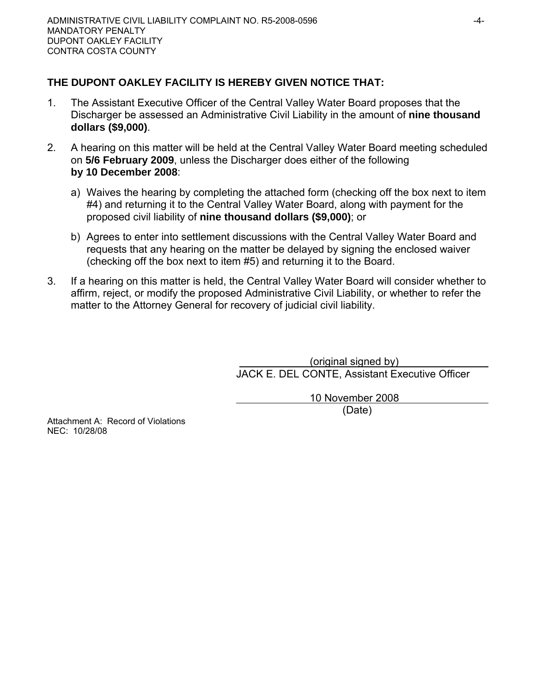# **THE DUPONT OAKLEY FACILITY IS HEREBY GIVEN NOTICE THAT:**

- 1. The Assistant Executive Officer of the Central Valley Water Board proposes that the Discharger be assessed an Administrative Civil Liability in the amount of **nine thousand dollars (\$9,000)**.
- 2. A hearing on this matter will be held at the Central Valley Water Board meeting scheduled on **5/6 February 2009**, unless the Discharger does either of the following **by 10 December 2008**:
	- a) Waives the hearing by completing the attached form (checking off the box next to item #4) and returning it to the Central Valley Water Board, along with payment for the proposed civil liability of **nine thousand dollars (\$9,000)**; or
	- b) Agrees to enter into settlement discussions with the Central Valley Water Board and requests that any hearing on the matter be delayed by signing the enclosed waiver (checking off the box next to item #5) and returning it to the Board.
- 3. If a hearing on this matter is held, the Central Valley Water Board will consider whether to affirm, reject, or modify the proposed Administrative Civil Liability, or whether to refer the matter to the Attorney General for recovery of judicial civil liability.

 (original signed by) JACK E. DEL CONTE, Assistant Executive Officer

> 10 November 2008 (Date)

Attachment A: Record of Violations NEC: 10/28/08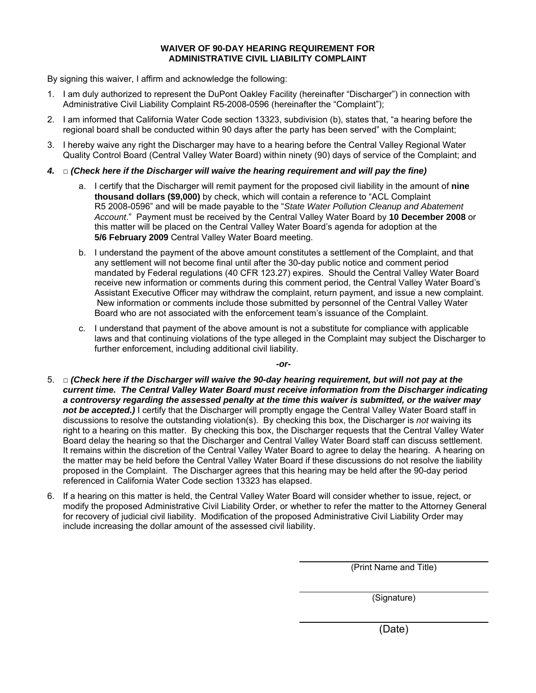#### **WAIVER OF 90-DAY HEARING REQUIREMENT FOR ADMINISTRATIVE CIVIL LIABILITY COMPLAINT**

By signing this waiver, I affirm and acknowledge the following:

- 1. I am duly authorized to represent the DuPont Oakley Facility (hereinafter "Discharger") in connection with Administrative Civil Liability Complaint R5-2008-0596 (hereinafter the "Complaint");
- 2. I am informed that California Water Code section 13323, subdivision (b), states that, "a hearing before the regional board shall be conducted within 90 days after the party has been served" with the Complaint;
- 3. I hereby waive any right the Discharger may have to a hearing before the Central Valley Regional Water Quality Control Board (Central Valley Water Board) within ninety (90) days of service of the Complaint; and
- *4.* □ *(Check here if the Discharger will waive the hearing requirement and will pay the fine)* 
	- a. I certify that the Discharger will remit payment for the proposed civil liability in the amount of **nine thousand dollars (\$9,000)** by check, which will contain a reference to "ACL Complaint R5 2008-0596" and will be made payable to the "*State Water Pollution Cleanup and Abatement Account*." Payment must be received by the Central Valley Water Board by **10 December 2008** or this matter will be placed on the Central Valley Water Board's agenda for adoption at the **5/6 February 2009** Central Valley Water Board meeting.
	- b. I understand the payment of the above amount constitutes a settlement of the Complaint, and that any settlement will not become final until after the 30-day public notice and comment period mandated by Federal regulations (40 CFR 123.27) expires. Should the Central Valley Water Board receive new information or comments during this comment period, the Central Valley Water Board's Assistant Executive Officer may withdraw the complaint, return payment, and issue a new complaint. New information or comments include those submitted by personnel of the Central Valley Water Board who are not associated with the enforcement team's issuance of the Complaint.
	- c. I understand that payment of the above amount is not a substitute for compliance with applicable laws and that continuing violations of the type alleged in the Complaint may subject the Discharger to further enforcement, including additional civil liability.

*-or-*

- 5. □ *(Check here if the Discharger will waive the 90-day hearing requirement, but will not pay at the current time. The Central Valley Water Board must receive information from the Discharger indicating a controversy regarding the assessed penalty at the time this waiver is submitted, or the waiver may*  not be accepted.) I certify that the Discharger will promptly engage the Central Valley Water Board staff in discussions to resolve the outstanding violation(s). By checking this box, the Discharger is *not* waiving its right to a hearing on this matter. By checking this box, the Discharger requests that the Central Valley Water Board delay the hearing so that the Discharger and Central Valley Water Board staff can discuss settlement. It remains within the discretion of the Central Valley Water Board to agree to delay the hearing. A hearing on the matter may be held before the Central Valley Water Board if these discussions do not resolve the liability proposed in the Complaint. The Discharger agrees that this hearing may be held after the 90-day period referenced in California Water Code section 13323 has elapsed.
- 6. If a hearing on this matter is held, the Central Valley Water Board will consider whether to issue, reject, or modify the proposed Administrative Civil Liability Order, or whether to refer the matter to the Attorney General for recovery of judicial civil liability. Modification of the proposed Administrative Civil Liability Order may include increasing the dollar amount of the assessed civil liability.

(Print Name and Title)

(Signature)

(Date)